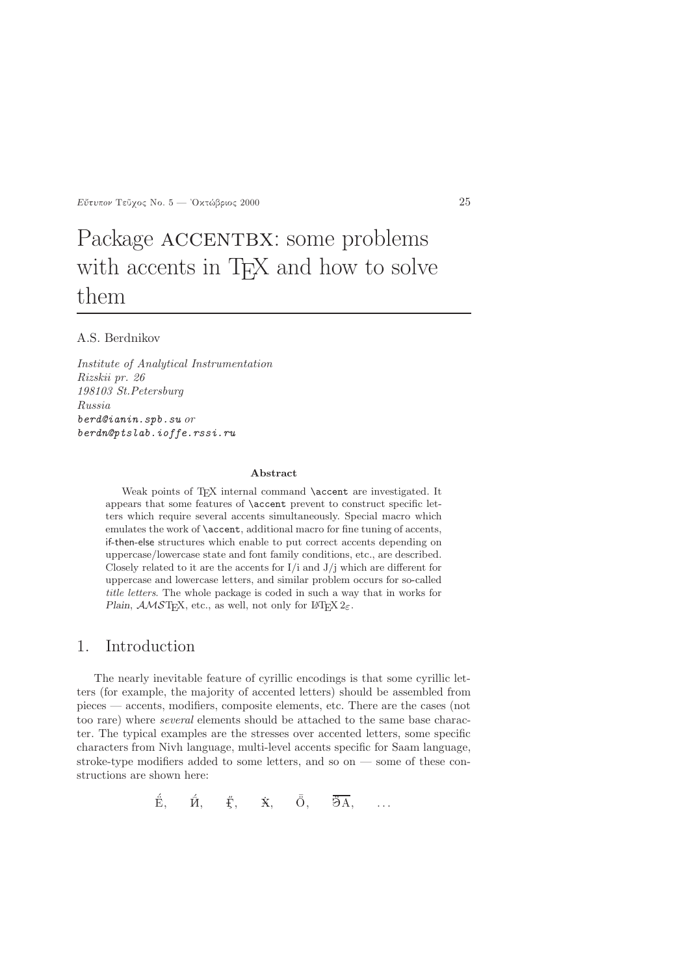$E$ ύτυπον Τεῦγος Νο. 5 — 'Οκτώβριος 2000 25

# Package ACCENTBX: some problems with accents in T<sub>E</sub>X and how to solve them

### A.S. Berdnikov

Institute of Analytical Instrumentation Rizskii pr. 26 198103 St.Petersburg Russia berd@ianin.spb.su or berdn@ptslab.ioffe.rssi.ru

#### Abstract

Weak points of T<sub>E</sub>X internal command **\accent** are investigated. It appears that some features of \accent prevent to construct specific letters which require several accents simultaneously. Special macro which emulates the work of **\accent**, additional macro for fine tuning of accents, if-then-else structures which enable to put correct accents depending on uppercase/lowercase state and font family conditions, etc., are described. Closely related to it are the accents for  $I/i$  and  $J/j$  which are different for uppercase and lowercase letters, and similar problem occurs for so-called title letters. The whole package is coded in such a way that in works for Plain,  $\mathcal{AMST}$ <sub>F</sub>X, etc., as well, not only for L<sup>A</sup>T<sub>F</sub>X 2 $\varepsilon$ .

## 1. Introduction

The nearly inevitable feature of cyrillic encodings is that some cyrillic letters (for example, the majority of accented letters) should be assembled from pieces — accents, modifiers, composite elements, etc. There are the cases (not too rare) where several elements should be attached to the same base character. The typical examples are the stresses over accented letters, some specific characters from Nivh language, multi-level accents specific for Saam language, stroke-type modifiers added to some letters, and so on — some of these constructions are shown here:

$$
\acute{\hat{E}}, \quad \acute{\hat{H}}, \quad \ \ \acute{\hat{E}}, \quad \ \ \dot{\hat{X}}, \quad \ \ \bar{\ddot{\hat{O}}}, \quad \ \ \, \overline{\ddot{\partial}A}, \quad \ \ \ldots
$$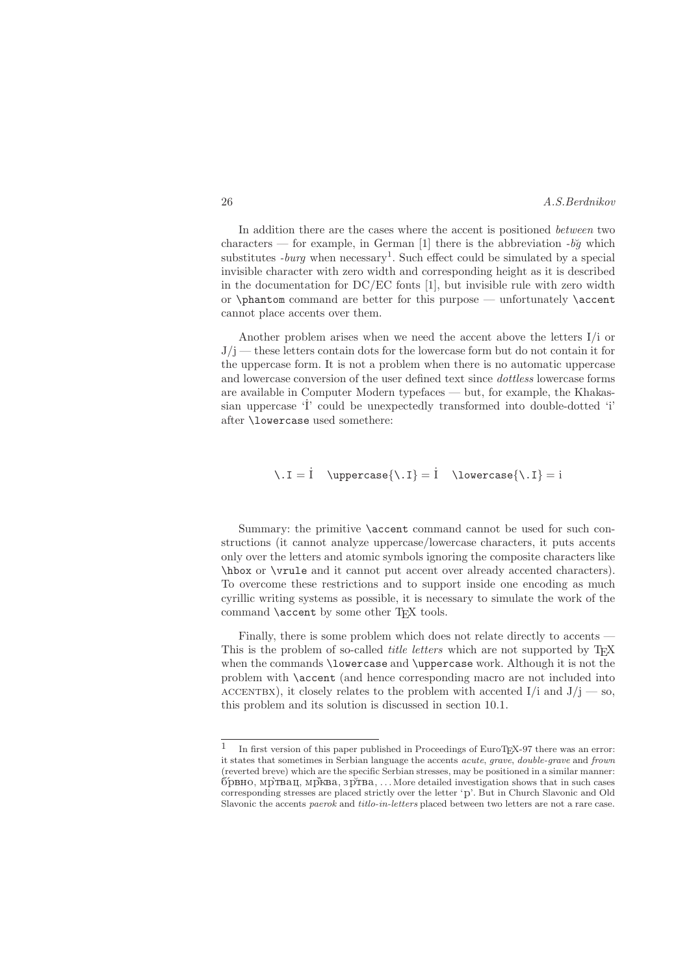| 26 | A.S.Berdnikov |
|----|---------------|
|    |               |

In addition there are the cases where the accent is positioned between two characters — for example, in German [1] there is the abbreviation  $-b\check{g}$  which substitutes  $-burg$  when necessary<sup>1</sup>. Such effect could be simulated by a special invisible character with zero width and corresponding height as it is described in the documentation for DC/EC fonts [1], but invisible rule with zero width or \phantom command are better for this purpose — unfortunately \accent cannot place accents over them.

Another problem arises when we need the accent above the letters I/i or  $J/i$  — these letters contain dots for the lowercase form but do not contain it for the uppercase form. It is not a problem when there is no automatic uppercase and lowercase conversion of the user defined text since dottless lowercase forms are available in Computer Modern typefaces — but, for example, the Khakassian uppercase 'I' could be unexpectedly transformed into double-dotted 'i' after \lowercase used somethere:

 $\setminus I = I \quad \text{where} \setminus I = I \quad \text{where} \setminus I = i$ 

Summary: the primitive \accent command cannot be used for such constructions (it cannot analyze uppercase/lowercase characters, it puts accents only over the letters and atomic symbols ignoring the composite characters like \hbox or \vrule and it cannot put accent over already accented characters). To overcome these restrictions and to support inside one encoding as much cyrillic writing systems as possible, it is necessary to simulate the work of the command **\accent** by some other TEX tools.

Finally, there is some problem which does not relate directly to accents — This is the problem of so-called *title letters* which are not supported by T<sub>E</sub>X when the commands \lowercase and \uppercase work. Although it is not the problem with \accent (and hence corresponding macro are not included into ACCENTBX), it closely relates to the problem with accented I/i and  $J/i$  — so, this problem and its solution is discussed in section 10.1.

<sup>1</sup> In first version of this paper published in Proceedings of EuroTEX-97 there was an error: it states that sometimes in Serbian language the accents acute, grave, double-grave and frown (reverted breve) which are the specific Serbian stresses, may be positioned in a similar manner:  $\tilde{p}_{\text{DBHO}}$ ,  $\tilde{p}_{\text{TBa}}$ ,  $\tilde{p}_{\text{TBa}}$ ,  $\ldots$  More detailed investigation shows that in such cases corresponding stresses are placed strictly over the letter 'p'. But in Church Slavonic and Old Slavonic the accents paerok and titlo-in-letters placed between two letters are not a rare case.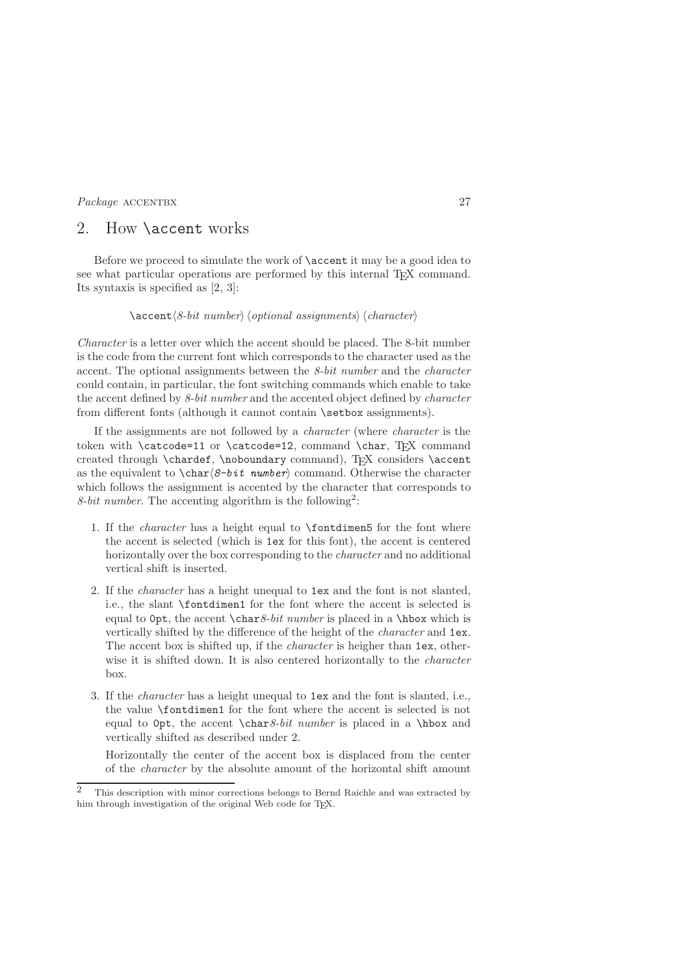# 2. How \accent works

Before we proceed to simulate the work of \accent it may be a good idea to see what particular operations are performed by this internal T<sub>EX</sub> command. Its syntaxis is specified as [2, 3]:

### $\text{S-bit number}$  (optional assignments) (character)

Character is a letter over which the accent should be placed. The 8-bit number is the code from the current font which corresponds to the character used as the accent. The optional assignments between the 8-bit number and the character could contain, in particular, the font switching commands which enable to take the accent defined by 8-bit number and the accented object defined by *character* from different fonts (although it cannot contain \setbox assignments).

If the assignments are not followed by a character (where character is the token with \catcode=11 or \catcode=12, command \char, TEX command created through \chardef, \noboundary command), TEX considers \accent as the equivalent to  $\char`>char\delta-bit$  number command. Otherwise the character which follows the assignment is accented by the character that corresponds to 8-bit number. The accenting algorithm is the following<sup>2</sup>:

- 1. If the character has a height equal to \fontdimen5 for the font where the accent is selected (which is 1ex for this font), the accent is centered horizontally over the box corresponding to the *character* and no additional vertical shift is inserted.
- 2. If the character has a height unequal to 1ex and the font is not slanted, i.e., the slant \fontdimen1 for the font where the accent is selected is equal to  $0pt$ , the accent  $\char`>char8-bit number$  is placed in a  $\hbox`$ hbox which is vertically shifted by the difference of the height of the *character* and **1ex**. The accent box is shifted up, if the *character* is heigher than 1ex, otherwise it is shifted down. It is also centered horizontally to the *character* box.
- 3. If the character has a height unequal to 1ex and the font is slanted, i.e., the value \fontdimen1 for the font where the accent is selected is not equal to  $0pt$ , the accent \char 8-bit number is placed in a \hbox and vertically shifted as described under 2.

Horizontally the center of the accent box is displaced from the center of the character by the absolute amount of the horizontal shift amount

<sup>2</sup> This description with minor corrections belongs to Bernd Raichle and was extracted by him through investigation of the original Web code for TEX.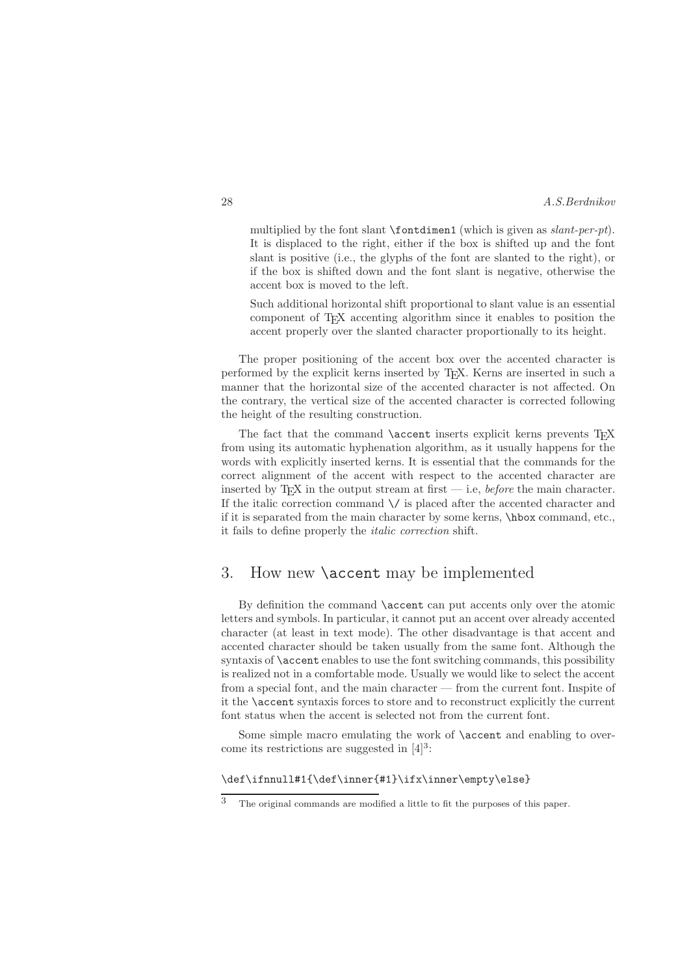multiplied by the font slant  $\font{font{imend}}$  (which is given as slant-per-pt). It is displaced to the right, either if the box is shifted up and the font slant is positive (i.e., the glyphs of the font are slanted to the right), or if the box is shifted down and the font slant is negative, otherwise the accent box is moved to the left.

Such additional horizontal shift proportional to slant value is an essential component of TEX accenting algorithm since it enables to position the accent properly over the slanted character proportionally to its height.

The proper positioning of the accent box over the accented character is performed by the explicit kerns inserted by TEX. Kerns are inserted in such a manner that the horizontal size of the accented character is not affected. On the contrary, the vertical size of the accented character is corrected following the height of the resulting construction.

The fact that the command **\accent** inserts explicit kerns prevents T<sub>EX</sub> from using its automatic hyphenation algorithm, as it usually happens for the words with explicitly inserted kerns. It is essential that the commands for the correct alignment of the accent with respect to the accented character are inserted by T<sub>E</sub>X in the output stream at first  $-$  i.e., *before* the main character. If the italic correction command  $\setminus\prime$  is placed after the accented character and if it is separated from the main character by some kerns, \hbox command, etc., it fails to define properly the italic correction shift.

# 3. How new \accent may be implemented

By definition the command \accent can put accents only over the atomic letters and symbols. In particular, it cannot put an accent over already accented character (at least in text mode). The other disadvantage is that accent and accented character should be taken usually from the same font. Although the syntaxis of \accent enables to use the font switching commands, this possibility is realized not in a comfortable mode. Usually we would like to select the accent from a special font, and the main character — from the current font. Inspite of it the \accent syntaxis forces to store and to reconstruct explicitly the current font status when the accent is selected not from the current font.

Some simple macro emulating the work of **\accent** and enabling to overcome its restrictions are suggested in  $[4]^3$ :

### \def\ifnnull#1{\def\inner{#1}\ifx\inner\empty\else}

<sup>3</sup> The original commands are modified a little to fit the purposes of this paper.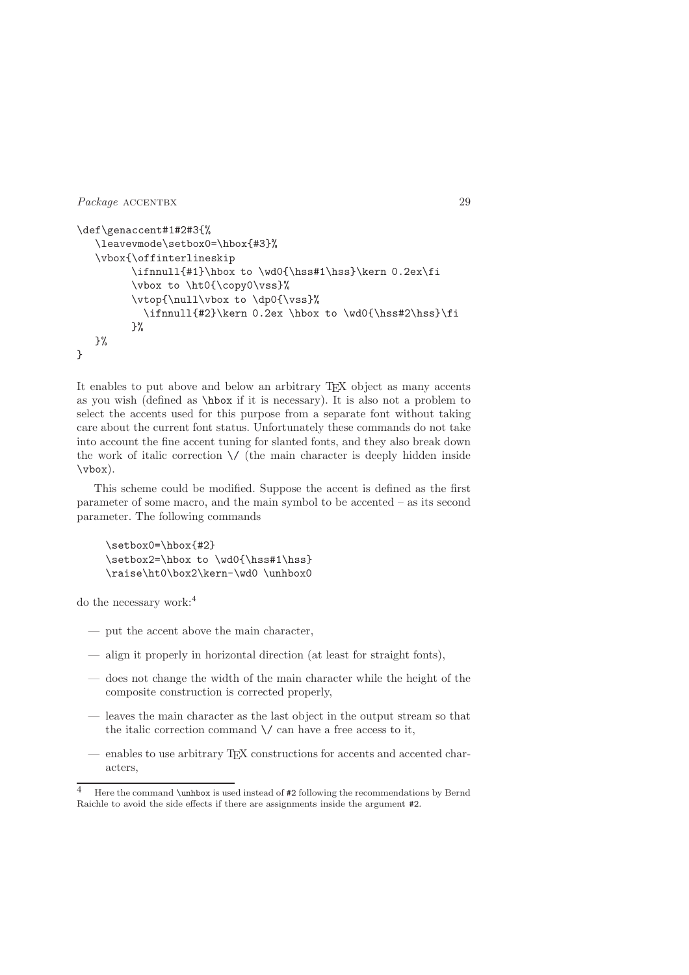```
\def\genaccent#1#2#3{%
   \leavevmode\setbox0=\hbox{#3}%
   \vbox{\offinterlineskip
         \ifnnull{#1}\hbox to \wd0{\hss#1\hss}\kern 0.2ex\fi
         \vbox to \ht0{\copy0\vss}%
         \vtop{\null\vbox to \dp0{\vss}%
           \ifnnull{#2}\kern 0.2ex \hbox to \wd0{\hss#2\hss}\fi
         }%
   \}%
}
```
It enables to put above and below an arbitrary TEX object as many accents as you wish (defined as \hbox if it is necessary). It is also not a problem to select the accents used for this purpose from a separate font without taking care about the current font status. Unfortunately these commands do not take into account the fine accent tuning for slanted fonts, and they also break down the work of italic correction  $\setminus$  (the main character is deeply hidden inside \vbox).

This scheme could be modified. Suppose the accent is defined as the first parameter of some macro, and the main symbol to be accented – as its second parameter. The following commands

```
\setbox0=\hbox{#2}
\setbox2=\hbox to \wd0{\hss#1\hss}
\raise\ht0\box2\kern-\wd0 \unhbox0
```
do the necessary work:<sup>4</sup>

- put the accent above the main character,
- align it properly in horizontal direction (at least for straight fonts),
- does not change the width of the main character while the height of the composite construction is corrected properly,
- leaves the main character as the last object in the output stream so that the italic correction command  $\setminus$  can have a free access to it,
- enables to use arbitrary TEX constructions for accents and accented characters,

<sup>4</sup> Here the command \unhbox is used instead of #2 following the recommendations by Bernd Raichle to avoid the side effects if there are assignments inside the argument #2.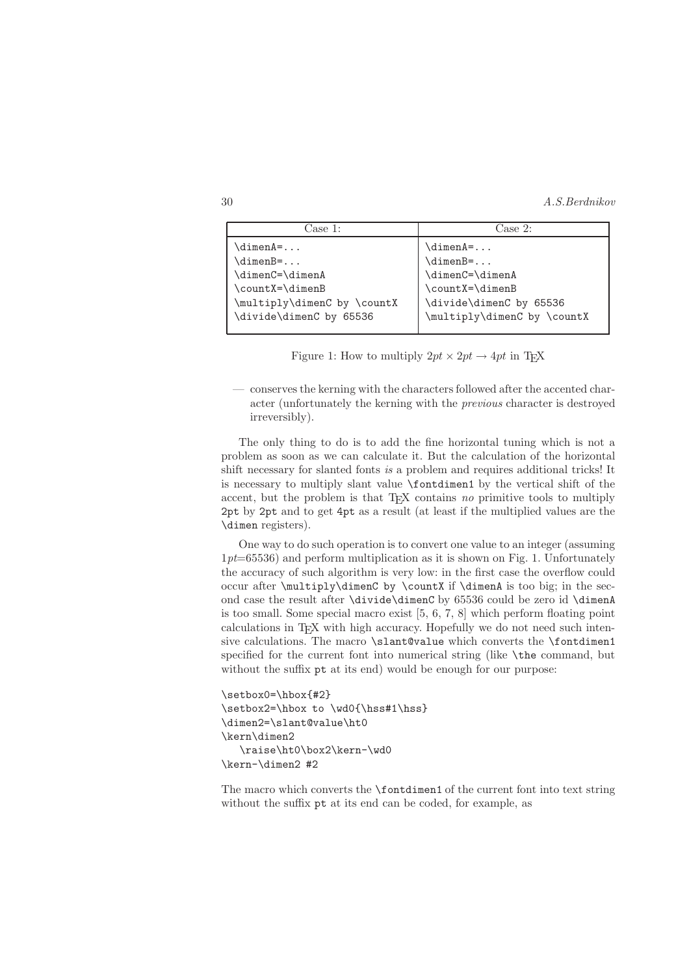| ''ase 1:                    | Case 2:                     |  |
|-----------------------------|-----------------------------|--|
| \dimenA=                    | $\dimenA = \ldots$          |  |
| $\dim$ en $B =$             | $\dim$ enB=                 |  |
| \dimenC=\dimenA             | $\dim\text{C}=\dim\text{A}$ |  |
| \countX=\dimenB             | \countX=\dimenB             |  |
| \multiply\dimenC by \countX | \divide\dimenC by 65536     |  |
| \divide\dimenC by 65536     | \multiply\dimenC by \countX |  |
|                             |                             |  |

Figure 1: How to multiply  $2pt \times 2pt \rightarrow 4pt$  in TEX

— conserves the kerning with the characters followed after the accented character (unfortunately the kerning with the previous character is destroyed irreversibly).

The only thing to do is to add the fine horizontal tuning which is not a problem as soon as we can calculate it. But the calculation of the horizontal shift necessary for slanted fonts is a problem and requires additional tricks! It is necessary to multiply slant value \fontdimen1 by the vertical shift of the accent, but the problem is that  $T_{E}X$  contains no primitive tools to multiply 2pt by 2pt and to get 4pt as a result (at least if the multiplied values are the \dimen registers).

One way to do such operation is to convert one value to an integer (assuming  $1pt=65536$ ) and perform multiplication as it is shown on Fig. 1. Unfortunately the accuracy of such algorithm is very low: in the first case the overflow could occur after \multiply\dimenC by \countX if \dimenA is too big; in the second case the result after \divide\dimenC by 65536 could be zero id \dimenA is too small. Some special macro exist [5, 6, 7, 8] which perform floating point calculations in T<sub>EX</sub> with high accuracy. Hopefully we do not need such intensive calculations. The macro \slant@value which converts the \fontdimen1 specified for the current font into numerical string (like \the command, but without the suffix  $pt$  at its end) would be enough for our purpose:

```
\setbox0=\hbox{#2}
\setbox2=\hbox to \wd0{\hss#1\hss}
\dimen2=\slant@value\ht0
\kern\dimen2
   \raise\ht0\box2\kern-\wd0
\kern-\dimen2 #2
```
The macro which converts the \fontdimen1 of the current font into text string without the suffix pt at its end can be coded, for example, as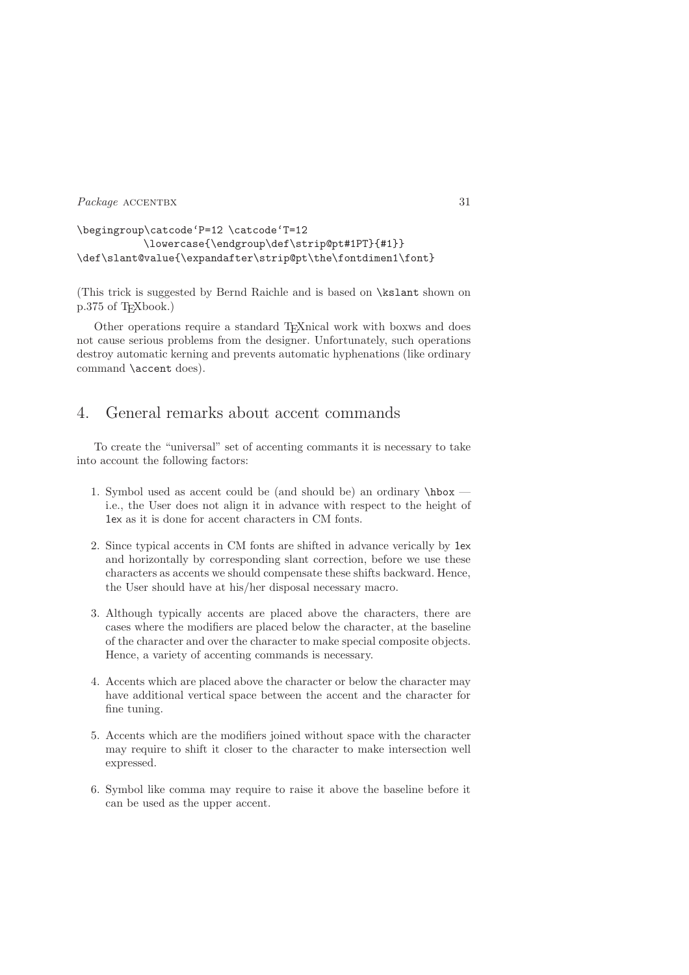```
\begingroup\catcode'P=12 \catcode'T=12
           \lowercase{\endgroup\def\strip@pt#1PT}{#1}}
\def\slant@value{\expandafter\strip@pt\the\fontdimen1\font}
```
(This trick is suggested by Bernd Raichle and is based on \kslant shown on p.375 of TEXbook.)

Other operations require a standard T<sub>E</sub>Xnical work with boxws and does not cause serious problems from the designer. Unfortunately, such operations destroy automatic kerning and prevents automatic hyphenations (like ordinary command \accent does).

# 4. General remarks about accent commands

To create the "universal" set of accenting commants it is necessary to take into account the following factors:

- 1. Symbol used as accent could be (and should be) an ordinary  $\hbar$ i.e., the User does not align it in advance with respect to the height of 1ex as it is done for accent characters in CM fonts.
- 2. Since typical accents in CM fonts are shifted in advance verically by 1ex and horizontally by corresponding slant correction, before we use these characters as accents we should compensate these shifts backward. Hence, the User should have at his/her disposal necessary macro.
- 3. Although typically accents are placed above the characters, there are cases where the modifiers are placed below the character, at the baseline of the character and over the character to make special composite objects. Hence, a variety of accenting commands is necessary.
- 4. Accents which are placed above the character or below the character may have additional vertical space between the accent and the character for fine tuning.
- 5. Accents which are the modifiers joined without space with the character may require to shift it closer to the character to make intersection well expressed.
- 6. Symbol like comma may require to raise it above the baseline before it can be used as the upper accent.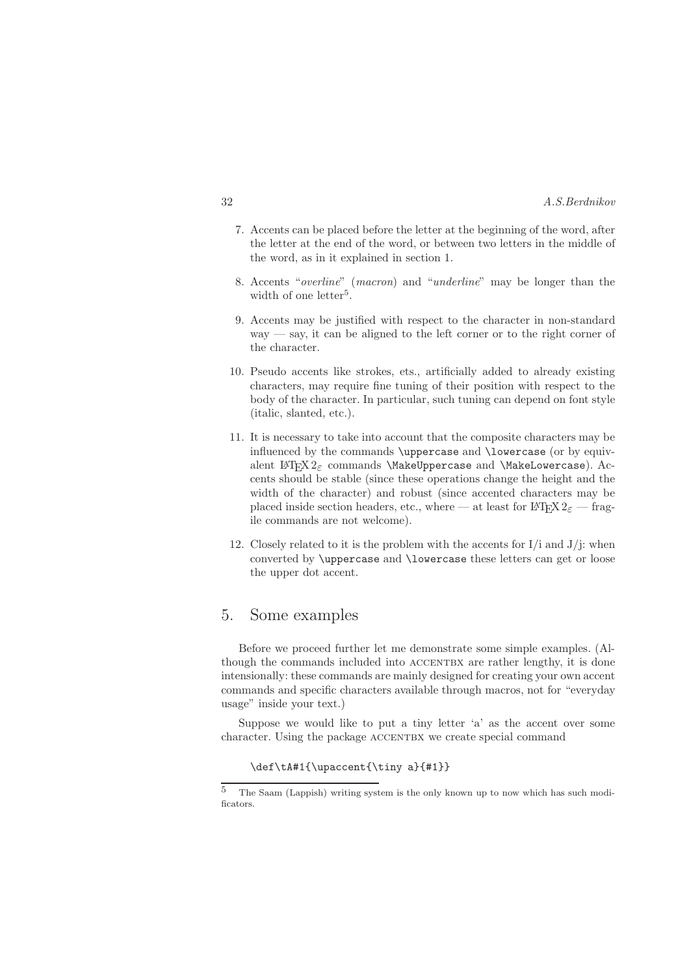- 7. Accents can be placed before the letter at the beginning of the word, after the letter at the end of the word, or between two letters in the middle of the word, as in it explained in section 1.
- 8. Accents "overline" (macron) and "underline" may be longer than the width of one letter<sup>5</sup>.
- 9. Accents may be justified with respect to the character in non-standard  $way - say$ , it can be aligned to the left corner or to the right corner of the character.
- 10. Pseudo accents like strokes, ets., artificially added to already existing characters, may require fine tuning of their position with respect to the body of the character. In particular, such tuning can depend on font style (italic, slanted, etc.).
- 11. It is necessary to take into account that the composite characters may be influenced by the commands \uppercase and \lowercase (or by equivalent LAT<sub>E</sub>X 2<sub> $\varepsilon$ </sub> commands \MakeUppercase and \MakeLowercase). Accents should be stable (since these operations change the height and the width of the character) and robust (since accented characters may be placed inside section headers, etc., where — at least for  $\text{LATEX} 2\varepsilon$  — fragile commands are not welcome).
- 12. Closely related to it is the problem with the accents for  $I/i$  and  $J/j$ : when converted by \uppercase and \lowercase these letters can get or loose the upper dot accent.

# 5. Some examples

Before we proceed further let me demonstrate some simple examples. (Although the commands included into ACCENTBX are rather lengthy, it is done intensionally: these commands are mainly designed for creating your own accent commands and specific characters available through macros, not for "everyday usage" inside your text.)

Suppose we would like to put a tiny letter 'a' as the accent over some character. Using the package ACCENTBX we create special command

#### \def\tA#1{\upaccent{\tiny a}{#1}}

<sup>5</sup> The Saam (Lappish) writing system is the only known up to now which has such modificators.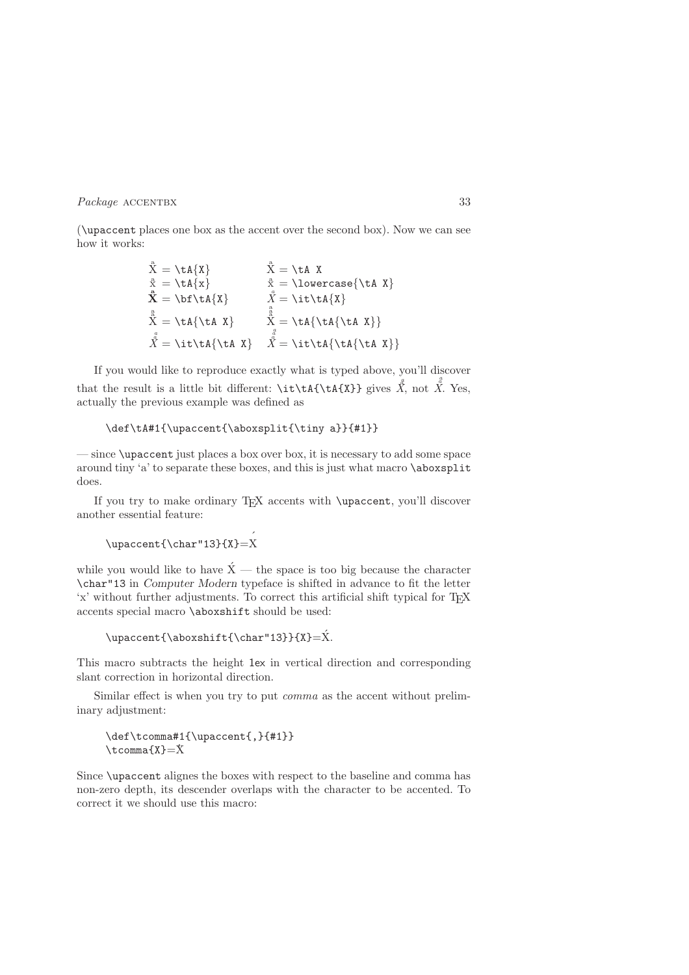(\upaccent places one box as the accent over the second box). Now we can see how it works:

$$
\vec{X} = \tilde{X}
$$
\n
$$
\vec{X} = \tilde{X}
$$
\n
$$
\vec{X} = \tilde{X}
$$
\n
$$
\vec{X} = \tilde{X}
$$
\n
$$
\vec{X} = \tilde{X}
$$
\n
$$
\vec{X} = \tilde{X}
$$
\n
$$
\vec{X} = \tilde{X}
$$
\n
$$
\vec{X} = \tilde{X}
$$
\n
$$
\vec{X} = \tilde{X}
$$
\n
$$
\vec{X} = \tilde{X}
$$
\n
$$
\vec{X} = \tilde{X}
$$
\n
$$
\vec{X} = \tilde{X}
$$
\n
$$
\vec{X} = \tilde{X}
$$
\n
$$
\vec{X} = \tilde{X}
$$

If you would like to reproduce exactly what is typed above, you'll discover a that the result is a little bit different:  $\it \tilde{X}$  and  $\bar{X}$ . Yes, actually the previous example was defined as

```
\def\tA#1{\upaccent{\aboxsplit{\tiny a}}{#1}}
```
— since \upaccent just places a box over box, it is necessary to add some space around tiny 'a' to separate these boxes, and this is just what macro \aboxsplit does.

If you try to make ordinary  $T_F X$  accents with  $\uarrow$  vou'll discover another essential feature:

```
\upaccent{\char"13}{X}=
´
X
```
while you would like to have  $\acute{X}$  — the space is too big because the character \char"13 in Computer Modern typeface is shifted in advance to fit the letter 'x' without further adjustments. To correct this artificial shift typical for T<sub>E</sub>X accents special macro \aboxshift should be used:

```
\upace{13}{X}=X.
```
This macro subtracts the height 1ex in vertical direction and corresponding slant correction in horizontal direction.

Similar effect is when you try to put comma as the accent without preliminary adjustment:

```
\def\tcomma#1{\upaccent{,}{#1}}
\text{Lemma} + 1
```
Since \upaccent alignes the boxes with respect to the baseline and comma has non-zero depth, its descender overlaps with the character to be accented. To correct it we should use this macro: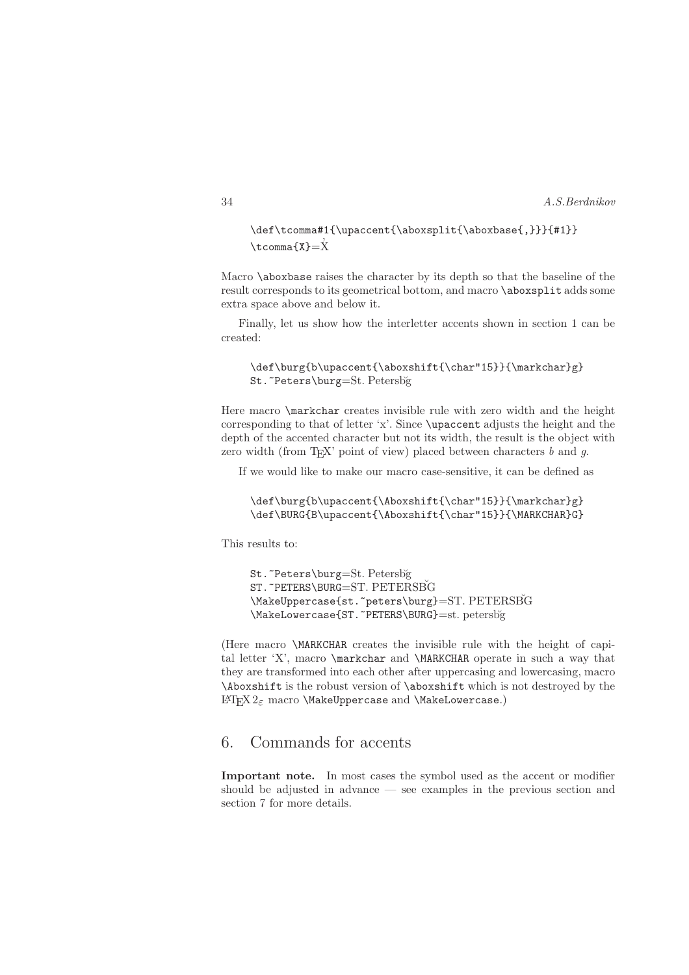```
\def\tcomma#1{\upaccent{\aboxsplit{\aboxbase{,}}}{#1}}
,
\tcomma{X}=
X
```
Macro **\aboxbase** raises the character by its depth so that the baseline of the result corresponds to its geometrical bottom, and macro \aboxsplit adds some extra space above and below it.

Finally, let us show how the interletter accents shown in section 1 can be created:

```
\def\burg{b\upaccent{\aboxshift{\char"15}}{\markchar}g}
St. ~Peters\burg=St. Petersbğ
```
Here macro **\markchar** creates invisible rule with zero width and the height corresponding to that of letter 'x'. Since \upaccent adjusts the height and the depth of the accented character but not its width, the result is the object with zero width (from T<sub>EX</sub>' point of view) placed between characters  $b$  and  $q$ .

If we would like to make our macro case-sensitive, it can be defined as

```
\def\burg{b\upaccent{\Aboxshift{\char"15}}{\markchar}g}
\def\BURG{B\upaccent{\Aboxshift{\char"15}}{\MARKCHAR}G}
```
This results to:

```
St. ~Peters\burg=St. Petersbğ
ST. "PETERS\BURG=ST. PETERSBG
\MakeUppercase{st.~peters\burg}=ST. PETERSBG
\MakeLowercase{ST.~PETERS\BURG}=st. petersb˘g
```
(Here macro \MARKCHAR creates the invisible rule with the height of capital letter 'X', macro \markchar and \MARKCHAR operate in such a way that they are transformed into each other after uppercasing and lowercasing, macro \Aboxshift is the robust version of \aboxshift which is not destroyed by the L<sup>AT</sup>F<sub>X</sub>  $2<sub>ε</sub>$  macro \MakeUppercase and \MakeLowercase.)

# 6. Commands for accents

Important note. In most cases the symbol used as the accent or modifier should be adjusted in advance — see examples in the previous section and section 7 for more details.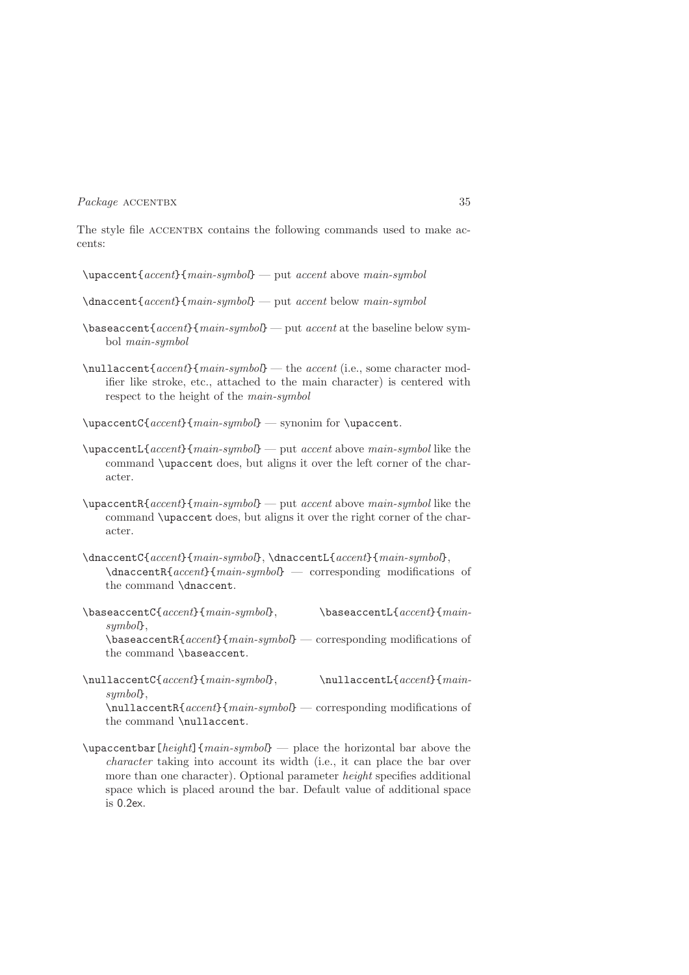The style file ACCENTBX contains the following commands used to make accents:

- \upaccent{accent}{main-symbol} put accent above main-symbol
- \dnaccent{accent}{main-symbol} put accent below main-symbol
- $\{accent\}$ {main-symbol} put accent at the baseline below symbol main-symbol
- $\mathcal{A}$  \nullaccent{accent}{main-symbol} the accent (i.e., some character modifier like stroke, etc., attached to the main character) is centered with respect to the height of the main-symbol
- \upaccentC{accent}{main-symbol} synonim for \upaccent.
- \upaccentL{accent}{main-symbol} put accent above main-symbol like the command \upaccent does, but aligns it over the left corner of the character.
- $\upace{1em}$  \upaccentR{accent}{main-symbol} put accent above main-symbol like the command \upaccent does, but aligns it over the right corner of the character.
- \dnaccentC{accent}{main-symbol}, \dnaccentL{accent}{main-symbol}, \dnaccentR{accent}{main-symbol} — corresponding modifications of the command \dnaccent.
- $\{base \cdot \text{C}\{accept\} \}$ ,  $\{base \cdot \text{C}\}$ symbol},  $\{accent\}$ {main-symbol} — corresponding modifications of the command \baseaccent.
- $\hbox{\texttt{accept}}{main\text{-}sum}$ ,  $\hbox{\texttt{accept}}{main\text{-}sum}$ symbol<sup>}</sup>.

\nullaccentR{accent}{main-symbol} — corresponding modifications of the command \nullaccent.

 $\u{pacentbar[height]$   $\{main-symbol\}$  — place the horizontal bar above the character taking into account its width (i.e., it can place the bar over more than one character). Optional parameter *height* specifies additional space which is placed around the bar. Default value of additional space is 0.2ex.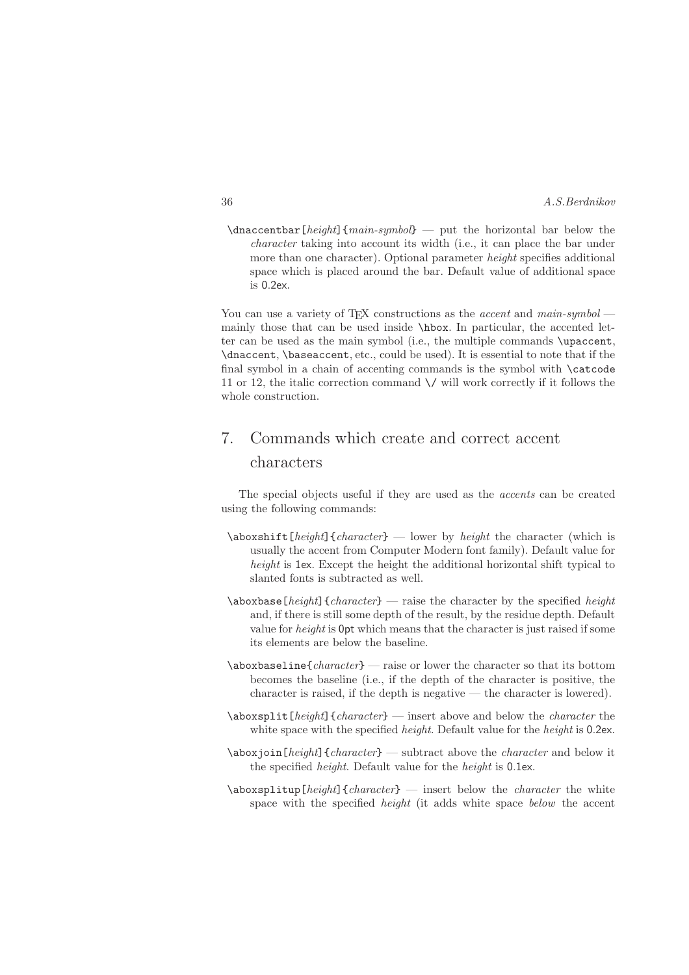$\dagger$  (dnaccentbar [height] {main-symbol} — put the horizontal bar below the character taking into account its width (i.e., it can place the bar under more than one character). Optional parameter height specifies additional space which is placed around the bar. Default value of additional space is 0.2ex.

You can use a variety of TFX constructions as the *accent* and  $main\text{-}symbol$ mainly those that can be used inside \hbox. In particular, the accented letter can be used as the main symbol (i.e., the multiple commands \upaccent, \dnaccent, \baseaccent, etc., could be used). It is essential to note that if the final symbol in a chain of accenting commands is the symbol with \catcode 11 or 12, the italic correction command  $\setminus$  will work correctly if it follows the whole construction.

# 7. Commands which create and correct accent characters

The special objects useful if they are used as the accents can be created using the following commands:

- $\lambda$ aboxshift[height]{character} lower by height the character (which is usually the accent from Computer Modern font family). Default value for height is 1ex. Except the height the additional horizontal shift typical to slanted fonts is subtracted as well.
- $\lambda$ aboxbase[height]{character} raise the character by the specified height and, if there is still some depth of the result, by the residue depth. Default value for height is 0pt which means that the character is just raised if some its elements are below the baseline.
- $\lambda$ aboxbaseline{*character*} raise or lower the character so that its bottom becomes the baseline (i.e., if the depth of the character is positive, the character is raised, if the depth is negative — the character is lowered).
- $\lambda$ aboxsplit[height]{character} insert above and below the character the white space with the specified *height*. Default value for the *height* is 0.2ex.
- $\lambda$ aboxjoin[height]{character} subtract above the character and below it the specified height. Default value for the height is 0.1ex.
- $\lambda$ aboxsplitup[height]{character} insert below the character the white space with the specified height (it adds white space below the accent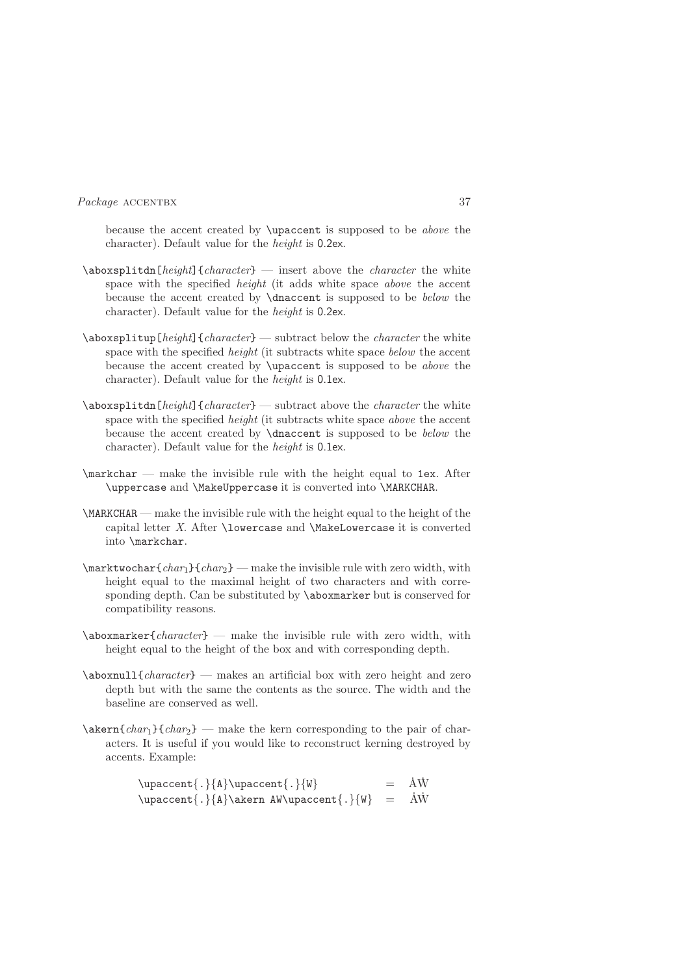because the accent created by \upaccent is supposed to be above the character). Default value for the height is 0.2ex.

- $\lambda$ aboxsplitdn[height]{character} insert above the character the white space with the specified *height* (it adds white space *above* the accent because the accent created by \dnaccent is supposed to be below the character). Default value for the height is 0.2ex.
- $\lambda$ sboxsplitup[ $height$ ]{character} subtract below the *character* the white space with the specified *height* (it subtracts white space *below* the accent because the accent created by \upaccent is supposed to be above the character). Default value for the height is 0.1ex.
- $\abot$ splitdn $[height]$ {character} subtract above the character the white space with the specified *height* (it subtracts white space *above* the accent because the accent created by \dnaccent is supposed to be below the character). Default value for the height is 0.1ex.
- \markchar make the invisible rule with the height equal to 1ex. After \uppercase and \MakeUppercase it is converted into \MARKCHAR.
- \MARKCHAR make the invisible rule with the height equal to the height of the capital letter X. After \lowercase and \MakeLowercase it is converted into \markchar.
- $\mathcal{L}$  marktwochar{char<sub>1</sub>}{char<sub>2</sub>} make the invisible rule with zero width, with height equal to the maximal height of two characters and with corresponding depth. Can be substituted by \aboxmarker but is conserved for compatibility reasons.
- $\lambda$ boxmarker{character} make the invisible rule with zero width, with height equal to the height of the box and with corresponding depth.
- $\lambda$ boxnull{character} makes an artificial box with zero height and zero depth but with the same the contents as the source. The width and the baseline are conserved as well.
- $\lambda$  \akern{char<sub>1</sub>}{char<sub>2</sub>} make the kern corresponding to the pair of characters. It is useful if you would like to reconstruct kerning destroyed by accents. Example:

 $\uparrow\{\ldots\}$  \upaccent{.}{A} \upaccent{.}{W} . A .W  $\upace{1}$ .}{A}\akern AW\upaccent{.}{W} = . A .W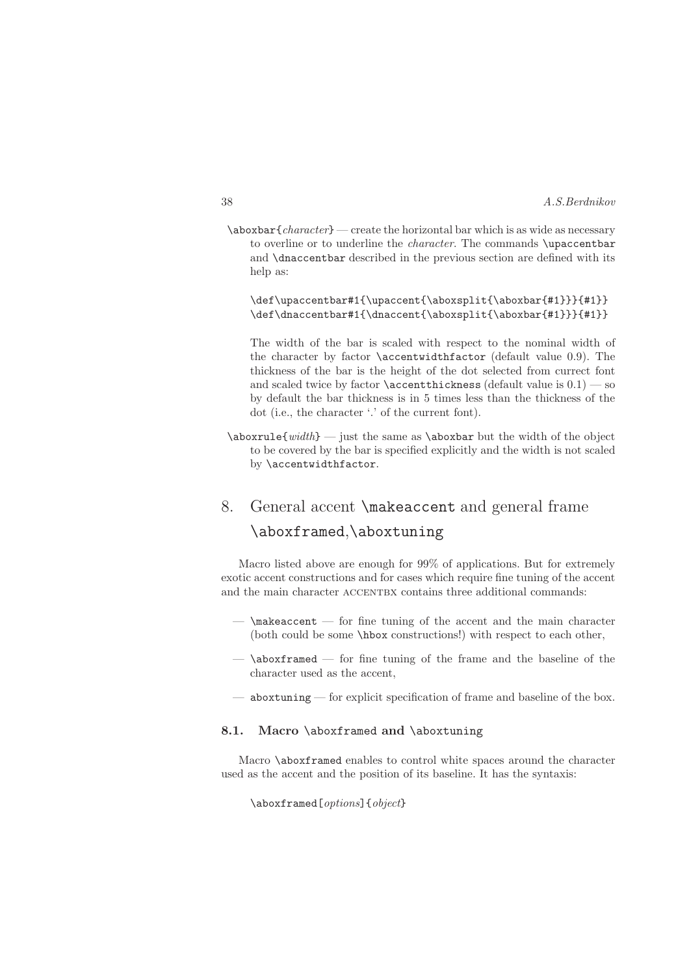$\lambda$ aboxbar{character} — create the horizontal bar which is as wide as necessary to overline or to underline the *character*. The commands \upaccentbar and \dnaccentbar described in the previous section are defined with its help as:

\def\upaccentbar#1{\upaccent{\aboxsplit{\aboxbar{#1}}}{#1}} \def\dnaccentbar#1{\dnaccent{\aboxsplit{\aboxbar{#1}}}{#1}}

The width of the bar is scaled with respect to the nominal width of the character by factor \accentwidthfactor (default value 0.9). The thickness of the bar is the height of the dot selected from currect font and scaled twice by factor  $\operatorname{accentthickness}$  (default value is  $0.1$ ) — so by default the bar thickness is in 5 times less than the thickness of the dot (i.e., the character '.' of the current font).

 $\abot$ xrule{width} — just the same as  $\abot$ xboxbar but the width of the object to be covered by the bar is specified explicitly and the width is not scaled by \accentwidthfactor.

# 8. General accent \makeaccent and general frame \aboxframed,\aboxtuning

Macro listed above are enough for 99% of applications. But for extremely exotic accent constructions and for cases which require fine tuning of the accent and the main character ACCENTBX contains three additional commands:

- $-$  \makeaccent  $-$  for fine tuning of the accent and the main character (both could be some \hbox constructions!) with respect to each other,
- $-$  \aboxframed  $-$  for fine tuning of the frame and the baseline of the character used as the accent,
- aboxtuning for explicit specification of frame and baseline of the box.

### 8.1. Macro \aboxframed and \aboxtuning

Macro \aboxframed enables to control white spaces around the character used as the accent and the position of its baseline. It has the syntaxis:

\aboxframed[*options*]{*object*}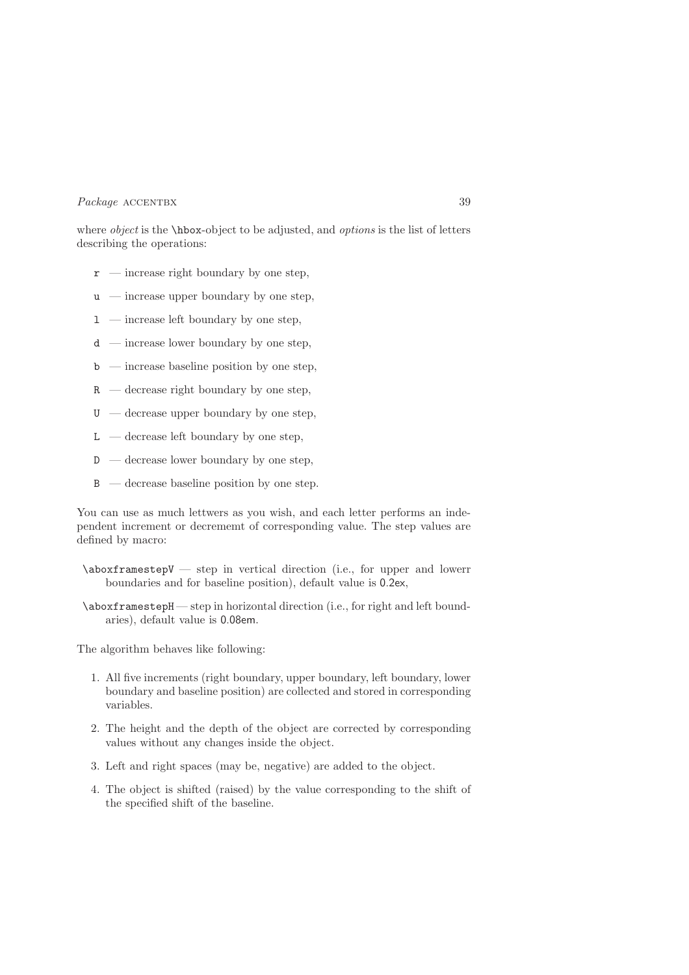where *object* is the  $\hbar$ ox-object to be adjusted, and *options* is the list of letters describing the operations:

- $\mathbf{r}$  increase right boundary by one step,
- $u$  increase upper boundary by one step,
- $1$  increase left boundary by one step,
- $d$  increase lower boundary by one step,
- $\mathbf{b}$  increase baseline position by one step,
- $R -$  decrease right boundary by one step.
- $U -$  decrease upper boundary by one step.
- $L$  decrease left boundary by one step,
- $D -$  decrease lower boundary by one step,
- $B -$  decrease baseline position by one step.

You can use as much lettwers as you wish, and each letter performs an independent increment or decrememt of corresponding value. The step values are defined by macro:

- \aboxframestepV step in vertical direction (i.e., for upper and lowerr boundaries and for baseline position), default value is 0.2ex,
- \aboxframestepH step in horizontal direction (i.e., for right and left boundaries), default value is 0.08em.

The algorithm behaves like following:

- 1. All five increments (right boundary, upper boundary, left boundary, lower boundary and baseline position) are collected and stored in corresponding variables.
- 2. The height and the depth of the object are corrected by corresponding values without any changes inside the object.
- 3. Left and right spaces (may be, negative) are added to the object.
- 4. The object is shifted (raised) by the value corresponding to the shift of the specified shift of the baseline.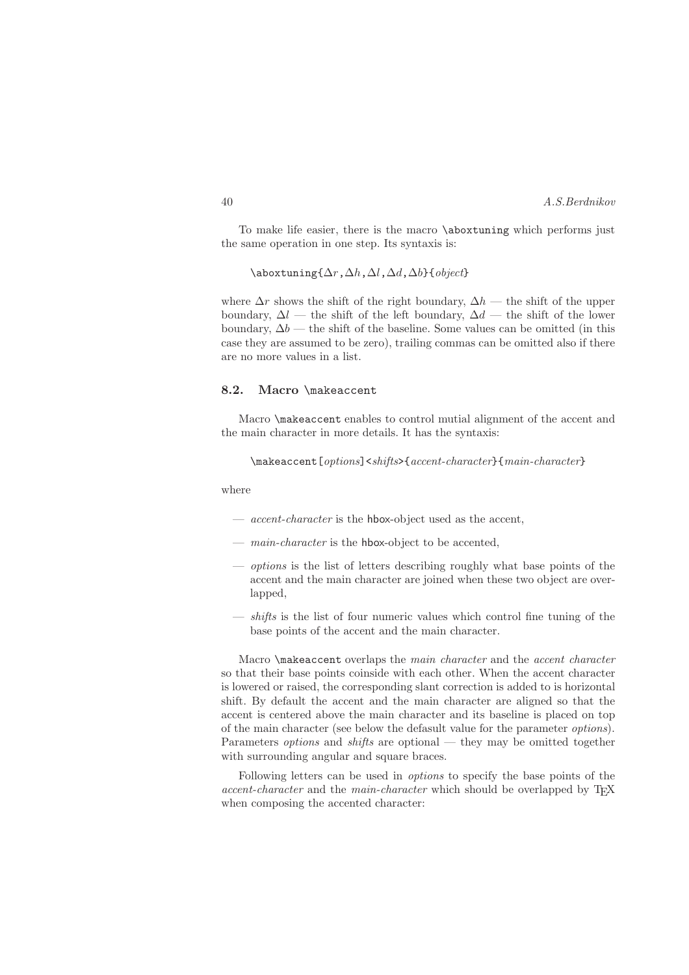To make life easier, there is the macro \aboxtuning which performs just the same operation in one step. Its syntaxis is:

 $\label{eq:1}$  $\lambda r, \Delta h, \Delta l, \Delta d, \Delta b$ }{object}

where  $\Delta r$  shows the shift of the right boundary,  $\Delta h$  — the shift of the upper boundary,  $\Delta l$  — the shift of the left boundary,  $\Delta d$  — the shift of the lower boundary,  $\Delta b$  — the shift of the baseline. Some values can be omitted (in this case they are assumed to be zero), trailing commas can be omitted also if there are no more values in a list.

### 8.2. Macro \makeaccent

Macro \makeaccent enables to control mutial alignment of the accent and the main character in more details. It has the syntaxis:

```
\makeaccent[options]<shifts>{accent-character}{main-character}
```
where

- *accent-character* is the hbox-object used as the accent,
- *main-character* is the **hbox-object** to be accented,
- options is the list of letters describing roughly what base points of the accent and the main character are joined when these two object are overlapped,
- $\frac{d}{dt}$  is the list of four numeric values which control fine tuning of the base points of the accent and the main character.

Macro \makeaccent overlaps the main character and the accent character so that their base points coinside with each other. When the accent character is lowered or raised, the corresponding slant correction is added to is horizontal shift. By default the accent and the main character are aligned so that the accent is centered above the main character and its baseline is placed on top of the main character (see below the defasult value for the parameter options). Parameters *options* and *shifts* are optional — they may be omitted together with surrounding angular and square braces.

Following letters can be used in options to specify the base points of the accent-character and the main-character which should be overlapped by T<sub>E</sub>X when composing the accented character: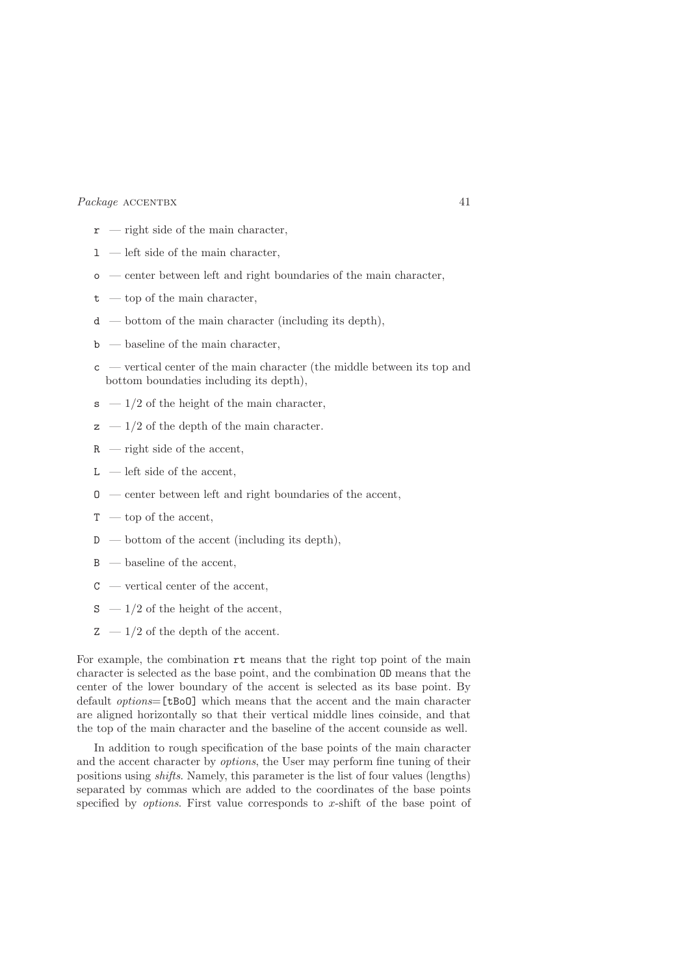- $\mathbf{r}$  right side of the main character,
- $1$  left side of the main character,
- o center between left and right boundaries of the main character,
- $t top$  of the main character,
- $d \rightarrow$  bottom of the main character (including its depth),
- $\mathbf{b}$  baseline of the main character,
- c vertical center of the main character (the middle between its top and bottom boundaties including its depth),
- $s 1/2$  of the height of the main character,
- $z = 1/2$  of the depth of the main character.
- R right side of the accent,
- $L$  left side of the accent,
- $\sigma$  center between left and right boundaries of the accent,
- $T -$ top of the accent,
- $D \rightarrow$  bottom of the accent (including its depth),
- $B -$  baseline of the accent,
- $C$  vertical center of the accent,
- $S 1/2$  of the height of the accent,
- $Z 1/2$  of the depth of the accent.

For example, the combination rt means that the right top point of the main character is selected as the base point, and the combination OD means that the center of the lower boundary of the accent is selected as its base point. By default options=[tBoO] which means that the accent and the main character are aligned horizontally so that their vertical middle lines coinside, and that the top of the main character and the baseline of the accent counside as well.

In addition to rough specification of the base points of the main character and the accent character by options, the User may perform fine tuning of their positions using shifts. Namely, this parameter is the list of four values (lengths) separated by commas which are added to the coordinates of the base points specified by *options*. First value corresponds to  $x$ -shift of the base point of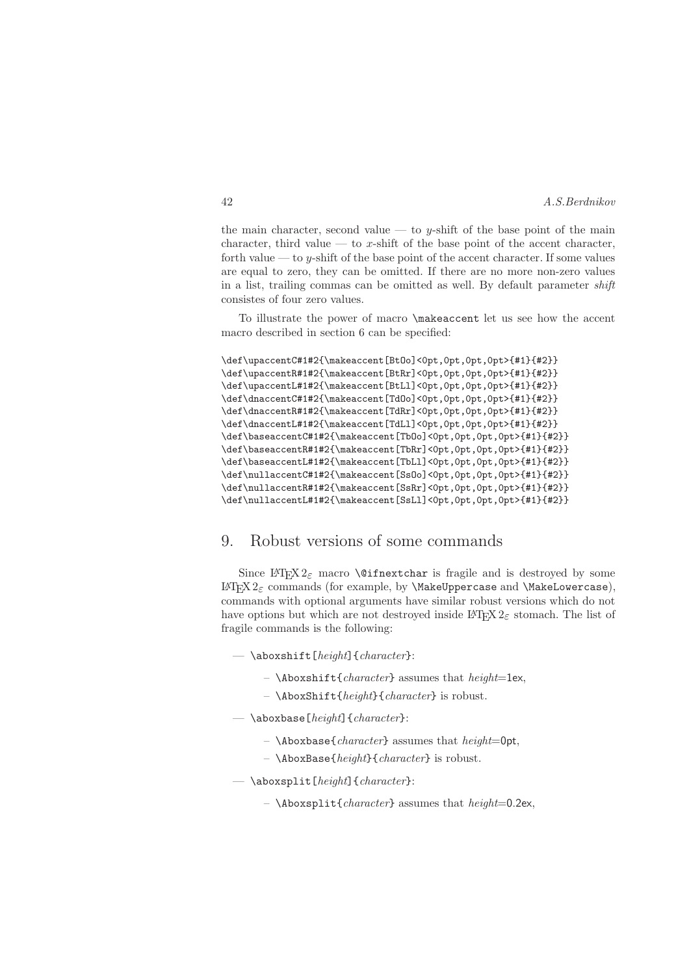the main character, second value — to y-shift of the base point of the main character, third value — to x-shift of the base point of the accent character, forth value — to y-shift of the base point of the accent character. If some values are equal to zero, they can be omitted. If there are no more non-zero values in a list, trailing commas can be omitted as well. By default parameter shift consistes of four zero values.

To illustrate the power of macro \makeaccent let us see how the accent macro described in section 6 can be specified:

```
\def\upaccentC#1#2{\makeaccent[BtOo]<0pt,0pt,0pt,0pt>{#1}{#2}}
\def\upaccentR#1#2{\makeaccent[BtRr]<0pt,0pt,0pt,0pt>{#1}{#2}}
\def\upaccentL#1#2{\makeaccent[BtLl]<0pt,0pt,0pt,0pt>{#1}{#2}}
\def\dnaccentC#1#2{\makeaccent[TdOo]<0pt,0pt,0pt,0pt>{#1}{#2}}
\def\dnaccentR#1#2{\makeaccent[TdRr]<0pt,0pt,0pt,0pt>{#1}{#2}}
\def\dnaccentL#1#2{\makeaccent[TdLl]<0pt,0pt,0pt,0pt>{#1}{#2}}
\def\baseaccentC#1#2{\makeaccent[TbOo]<0pt,0pt,0pt,0pt>{#1}{#2}}
\def\baseaccentR#1#2{\makeaccent[TbRr]<0pt,0pt,0pt,0pt>{#1}{#2}}
\def\baseaccentL#1#2{\makeaccent[TbLl]<0pt,0pt,0pt,0pt>{#1}{#2}}
\def\nullaccentC#1#2{\makeaccent[SsOo]<0pt,0pt,0pt,0pt>{#1}{#2}}
\def\nullaccentR#1#2{\makeaccent[SsRr]<0pt,0pt,0pt,0pt>{#1}{#2}}
\def\nullaccentL#1#2{\makeaccent[SsLl]<0pt,0pt,0pt,0pt>{#1}{#2}}
```
# 9. Robust versions of some commands

Since LAT<sub>EX</sub>  $2\varepsilon$  macro **\@ifnextchar** is fragile and is destroyed by some L<sup>A</sup>T<sub>F</sub>X 2<sub>ε</sub> commands (for example, by **\MakeUppercase** and **\MakeLowercase**), commands with optional arguments have similar robust versions which do not have options but which are not destroyed inside  $\mathbb{F} \mathbb{F} \times \mathbb{F}^2$  atomach. The list of fragile commands is the following:

- $\backslash$ aboxshift[height]{character}:
	- $\Lambda$ boxshift{character} assumes that height=1ex,
	- $\ \backslash$ AboxShift{height}{character} is robust.
- $\rightarrow$  \aboxbase[height]{character}:
	- $\Lambda$ boxbase{*character*} assumes that *height*=0pt,
	- $\ \backslash$ AboxBase{height}{character} is robust.
- $\n\backslash \text{abssplit}[height]{\text{character}}:$ 
	- $\Lambda$ boxsplit{character} assumes that height=0.2ex,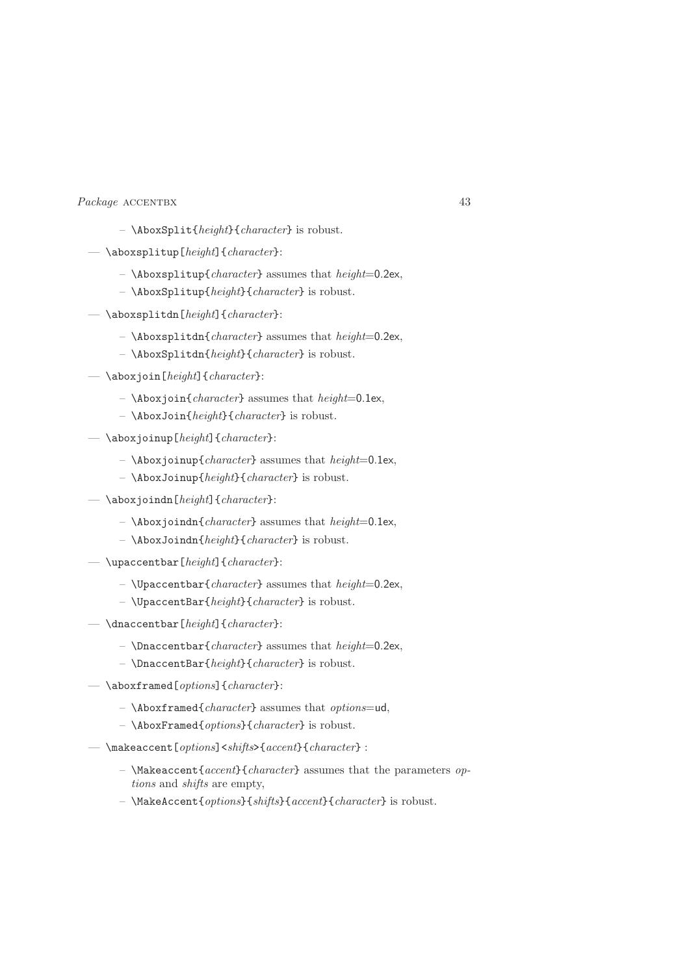- $\ \backslash$ AboxSplit{height}{character} is robust.
- $\n\backslash \text{abssplitup}[height]{\text{character}}:$ 
	- $\hbox{Abossplitup}$  (*character*} assumes that *height*=0.2ex,
	- \AboxSplitup{height}{character} is robust.
- $\n\backslash \nabla$  aboxsplitdn[height]{character}:
	- $\Lambda$ boxsplitdn{character} assumes that height=0.2ex,
	- $\ \backslash$ AboxSplitdn{height}{character} is robust.
- $\backslash$ aboxjoin[height]{character}:
	- $\ \lambda$ boxjoin{character} assumes that height=0.1ex,
	- $\ \lambda$ boxJoin{height}{character} is robust.
- $\lambda$ aboxjoinup[height]{character}:
	- $\Lambda$ boxjoinup{*character*} assumes that *height*=0.1ex,
	- \AboxJoinup{height}{character} is robust.
- $\lambda$ boxjoindn[height]{character}:
	- $\Lambda$ boxjoindn{character} assumes that height=0.1ex,
	- $\ \lambda$ boxJoindn{height}{character} is robust.
- $-$  \upaccentbar [height] {character}:
	- $\Upsilon$   $\Upsilon$   $\Upsilon$  =  $\Upsilon$  assumes that height=0.2ex,
	- \UpaccentBar{height}{character} is robust.
- $\langle$ dnaccentbar[height]{character}:
	- \Dnaccentbar{character} assumes that  $height=0.2$ ex,
	- \DnaccentBar{height}{character} is robust.
- $\rightarrow$  \aboxframed[*options*]{*character*}:
	- $\ \lambda$ boxframed{character} assumes that options=ud,
	- \AboxFramed{options}{character} is robust.
- $-$  \makeaccent [options] < shifts> { accent} { character} :
	- \Makeaccent{accent}{character} assumes that the parameters  $op$ tions and shifts are empty,
	- \MakeAccent{options}{shifts}{accent}{character} is robust.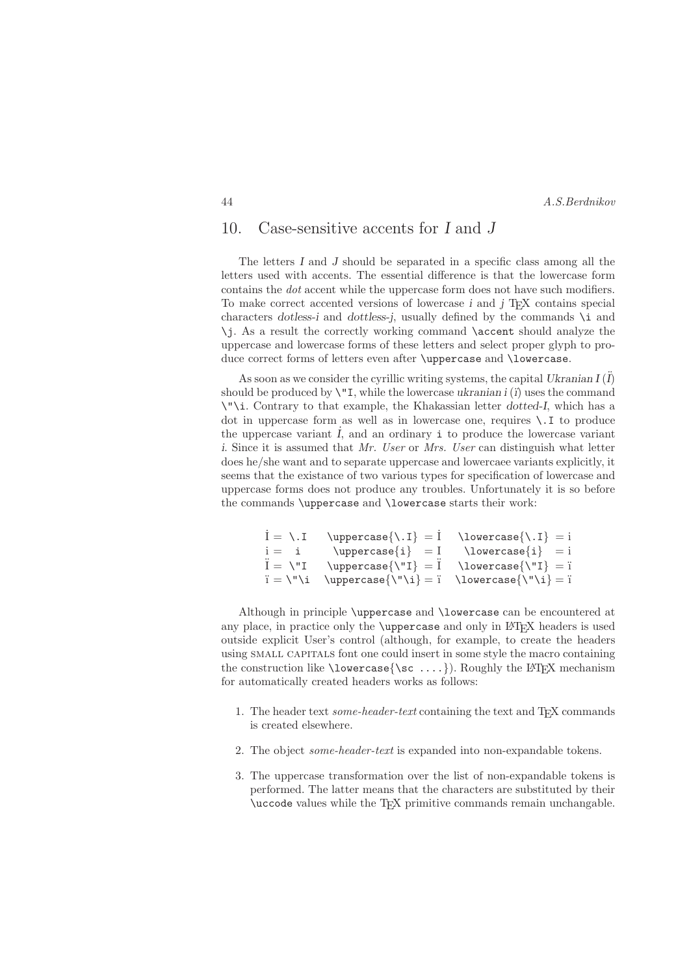# 10. Case-sensitive accents for I and J

The letters I and J should be separated in a specific class among all the letters used with accents. The essential difference is that the lowercase form contains the dot accent while the uppercase form does not have such modifiers. To make correct accented versions of lowercase  $i$  and  $j$  T<sub>EX</sub> contains special characters dotless-i and dottless-j, usually defined by the commands  $\iota$  and \j. As a result the correctly working command \accent should analyze the uppercase and lowercase forms of these letters and select proper glyph to produce correct forms of letters even after \uppercase and \lowercase.

As soon as we consider the cyrillic writing systems, the capital Ukranian  $I(\ddot{I})$ should be produced by  $\Upsilon$ . while the lowercase ukranian i (i) uses the command \"\i. Contrary to that example, the Khakassian letter dotted-I, which has a dot in uppercase form as well as in lowercase one, requires  $\setminus$ . I to produce the uppercase variant  $I$ , and an ordinary  $\mathbf{i}$  to produce the lowercase variant i. Since it is assumed that Mr. User or Mrs. User can distinguish what letter does he/she want and to separate uppercase and lowercaee variants explicitly, it seems that the existance of two various types for specification of lowercase and uppercase forms does not produce any troubles. Unfortunately it is so before the commands \uppercase and \lowercase starts their work:

```
\overline{I} = \I \text{uppercase}\{ \I \} = i<br>
i = i \text{uppercase}\{ i \} = I \text{lowercase}\{ i \} = ii = i \uppercase{i} = I \lowercase{i} = i<br>
\ddot{I} = \Upsilon \uppercase{\"I} = \"I \uppercase{\"I} = i
                   \uparrow \uppercase{\"I} = \ddot{i} \lowercase{\"I} = \ddot{i}i = \lceil \nu \rceil \uppercase\lceil \nu \rceil = i \lowercase\lceil \nu \rceil = i
```
Although in principle \uppercase and \lowercase can be encountered at any place, in practice only the  $\u$ ppercase and only in LAT<sub>EX</sub> headers is used outside explicit User's control (although, for example, to create the headers using SMALL CAPITALS font one could insert in some style the macro containing the construction like  $\{\sc sc \ldots\}$ . Roughly the LATEX mechanism for automatically created headers works as follows:

- 1. The header text some-header-text containing the text and  $T_{E}X$  commands is created elsewhere.
- 2. The object some-header-text is expanded into non-expandable tokens.
- 3. The uppercase transformation over the list of non-expandable tokens is performed. The latter means that the characters are substituted by their \uccode values while the TEX primitive commands remain unchangable.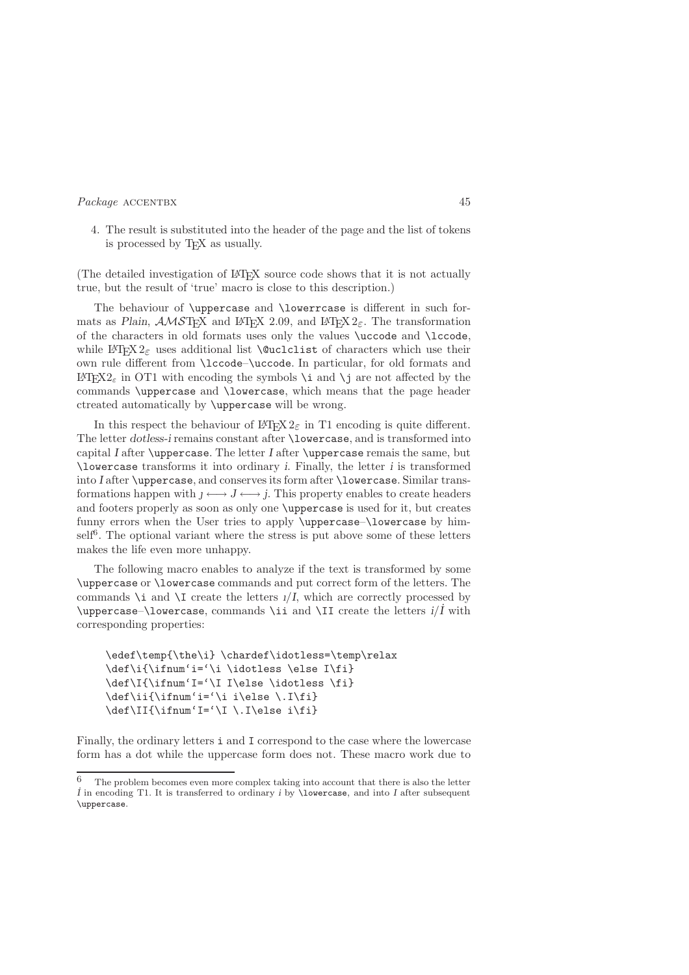4. The result is substituted into the header of the page and the list of tokens is processed by T<sub>E</sub>X as usually.

(The detailed investigation of L<sup>A</sup>TEX source code shows that it is not actually true, but the result of 'true' macro is close to this description.)

The behaviour of \uppercase and \lowerrcase is different in such formats as Plain,  $\mathcal{A}\mathcal{M}\mathcal{S}\mathbb{T}_{F}X$  and LAT<sub>E</sub>X 2.09, and LAT<sub>E</sub>X 2<sub> $\varepsilon$ </sub>. The transformation of the characters in old formats uses only the values \uccode and \lccode, while  $\angle$ FIFX 2<sub> $\varepsilon$ </sub> uses additional list **\@uclclist** of characters which use their own rule different from \lccode–\uccode. In particular, for old formats and L<sup>A</sup>T<sub>F</sub>X2<sub>ε</sub> in OT1 with encoding the symbols \i and \j are not affected by the commands \uppercase and \lowercase, which means that the page header ctreated automatically by \uppercase will be wrong.

In this respect the behaviour of  $\text{LATEX } 2\varepsilon$  in T1 encoding is quite different. The letter dotless-i remains constant after **\lowercase**, and is transformed into capital I after  $\u$ ppercase. The letter I after  $\u$ ppercase remais the same, but \lowercase transforms it into ordinary i. Finally, the letter i is transformed into I after \uppercase, and conserves its form after \lowercase. Similar transformations happen with  $l \leftrightarrow J \leftrightarrow j$ . This property enables to create headers and footers properly as soon as only one \uppercase is used for it, but creates funny errors when the User tries to apply \uppercase–\lowercase by himself<sup>6</sup>. The optional variant where the stress is put above some of these letters makes the life even more unhappy.

The following macro enables to analyze if the text is transformed by some \uppercase or \lowercase commands and put correct form of the letters. The commands  $\iota$  and  $\iota$  create the letters  $1/I$ , which are correctly processed by \uppercase–\lowercase, commands \ii and \II create the letters  $i/\dot{I}$  with corresponding properties:

```
\edef\temp{\the\i} \chardef\idotless=\temp\relax
\def\i{\ifnum'i='\i \idotless \else I\fi}
\def\I{\ifnum'I='\I I\else \idotless \fi}
\label{def:G} $$\def\ii{\iintnum' i=<\i i\else\.\I\fi\}\def\If\ifmmode{\rm\bigw^n E^{\rm II}\right.}
```
Finally, the ordinary letters i and I correspond to the case where the lowercase form has a dot while the uppercase form does not. These macro work due to

<sup>6</sup> The problem becomes even more complex taking into account that there is also the letter  $\dot{I}$  in encoding T1. It is transferred to ordinary i by **\lowercase**, and into I after subsequent \uppercase.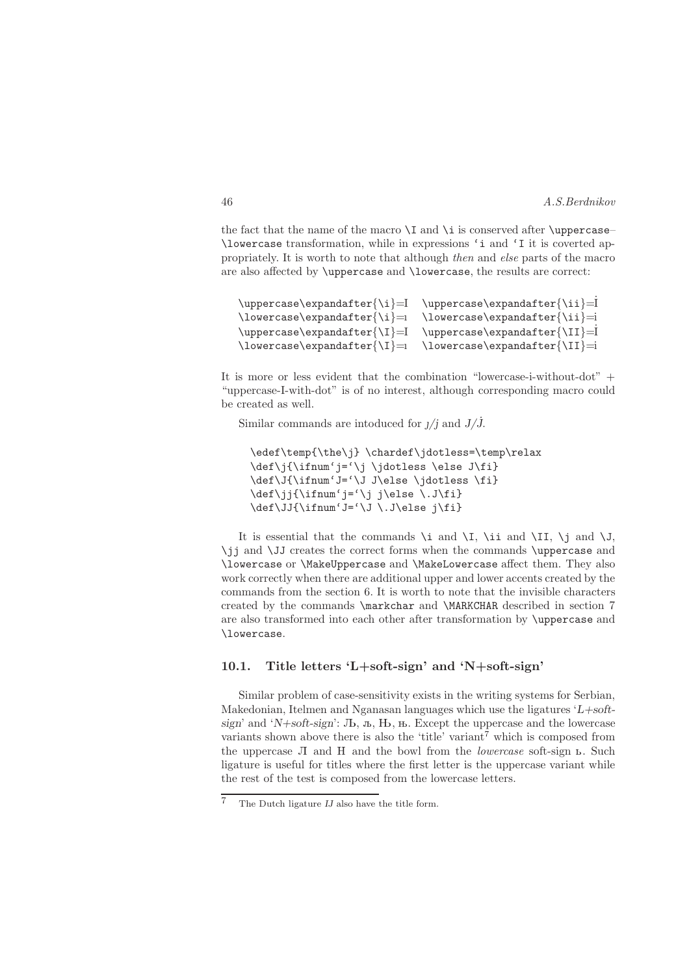the fact that the name of the macro  $\I$  and  $\i$  is conserved after  $\uparrow$   $\uparrow$   $\downarrow$ \lowercase transformation, while in expressions 'i and 'I it is coverted appropriately. It is worth to note that although then and else parts of the macro are also affected by \uppercase and \lowercase, the results are correct:

```
\uppercase\expandafter{\i}=I \uppercase\expandafter{\ii}=
\lowercase\expandafter{\i}=ı \lowercase\expandafter{\ii}=i
\uparrow \uppercase\expandafter{\I}=I \uppercase\expandafter{\II}=
\lowercase\expandafter{\I}=ı \lowercase\expandafter{\II}=i
```
It is more or less evident that the combination "lowercase-i-without-dot" + "uppercase-I-with-dot" is of no interest, although corresponding macro could be created as well.

Similar commands are intoduced for  $J/j$  and  $J/\dot{J}$ .

```
\edef\temp{\the\j} \chardef\jdotless=\temp\relax
\def\j{\ifnum'j='\j \jdotless \else J\fi}
\def\J{\ifnum'J='\J J\else \jdotless \fi}
\def\jj{\ifnum'j='\j j\else \.J\fi}
\label{thm} $$\def\J{\ifnum 'J='}\J \.\,J\,else j\fi $$
```
It is essential that the commands  $\iota$  and  $\iota$ ,  $\iota$  and  $\iota$ ,  $\iota$  and  $\iota$ ,  $\iota$  and  $\iota$ , \jj and \JJ creates the correct forms when the commands \uppercase and \lowercase or \MakeUppercase and \MakeLowercase affect them. They also work correctly when there are additional upper and lower accents created by the commands from the section 6. It is worth to note that the invisible characters created by the commands \markchar and \MARKCHAR described in section 7 are also transformed into each other after transformation by \uppercase and \lowercase.

### 10.1. Title letters 'L+soft-sign' and 'N+soft-sign'

Similar problem of case-sensitivity exists in the writing systems for Serbian, Makedonian, Itelmen and Nganasan languages which use the ligatures  $'L + soft$ sign' and 'N+soft-sign':  $Jb$ ,  $\pi$ ,  $H$ ,  $\pi$ . Except the uppercase and the lowercase variants shown above there is also the 'title' variant<sup>7</sup> which is composed from the uppercase  $\Pi$  and  $H$  and the bowl from the *lowercase* soft-sign  $L$ . Such ligature is useful for titles where the first letter is the uppercase variant while the rest of the test is composed from the lowercase letters.

The Dutch ligature  $IJ$  also have the title form.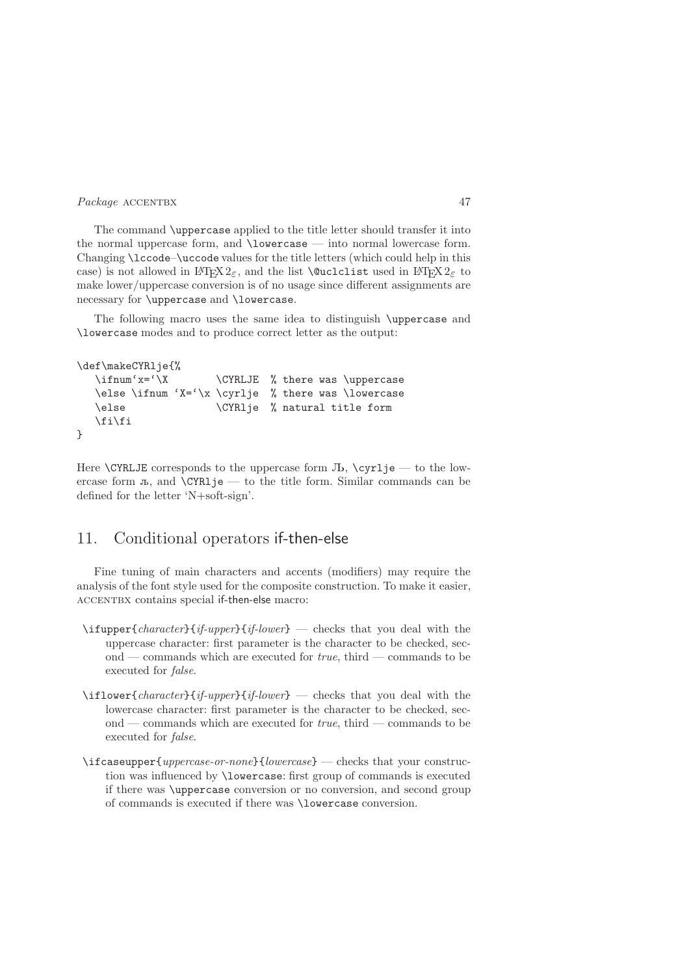The command \uppercase applied to the title letter should transfer it into the normal uppercase form, and \lowercase — into normal lowercase form. Changing \lccode–\uccode values for the title letters (which could help in this case) is not allowed in LAT<sub>E</sub>X 2<sub>ε</sub>, and the list **\@uclclist** used in LAT<sub>E</sub>X 2<sub>ε</sub> to make lower/uppercase conversion is of no usage since different assignments are necessary for \uppercase and \lowercase.

The following macro uses the same idea to distinguish \uppercase and \lowercase modes and to produce correct letter as the output:

```
\def\makeCYRlje{%
  \ifmm' x = '\X \CYRLJE % there was \uppercase
  \else \ifnum 'X='\x \cyrlje % there was \lowercase
  \else \CYRlje % natural title form
  \fi\fi
}
```
Here  $\text{CYRLJE}$  corresponds to the uppercase form  $J<sub>b</sub>$ ,  $\text{Cyrli} =$  to the lowercase form  $\overline{a}$ , and **\CYRl**je — to the title form. Similar commands can be defined for the letter 'N+soft-sign'.

# 11. Conditional operators if-then-else

Fine tuning of main characters and accents (modifiers) may require the analysis of the font style used for the composite construction. To make it easier, ACCENTBX contains special if-then-else macro:

- $\left\{ \frac{i f \cdot \text{upper} \cdot \text{upper} \cdot \text{upper} \cdot \text{lower} \right\} \text{checks that you deal with the} \right\}$ uppercase character: first parameter is the character to be checked, second — commands which are executed for  $true$ , third — commands to be executed for false.
- $\left\{\text{character}\right\{if-upper\}\right\}$  checks that you deal with the lowercase character: first parameter is the character to be checked, second — commands which are executed for  $true$ , third — commands to be executed for false.
- \ifcaseupper{uppercase-or-none}{lowercase} checks that your construction was influenced by \lowercase: first group of commands is executed if there was \uppercase conversion or no conversion, and second group of commands is executed if there was \lowercase conversion.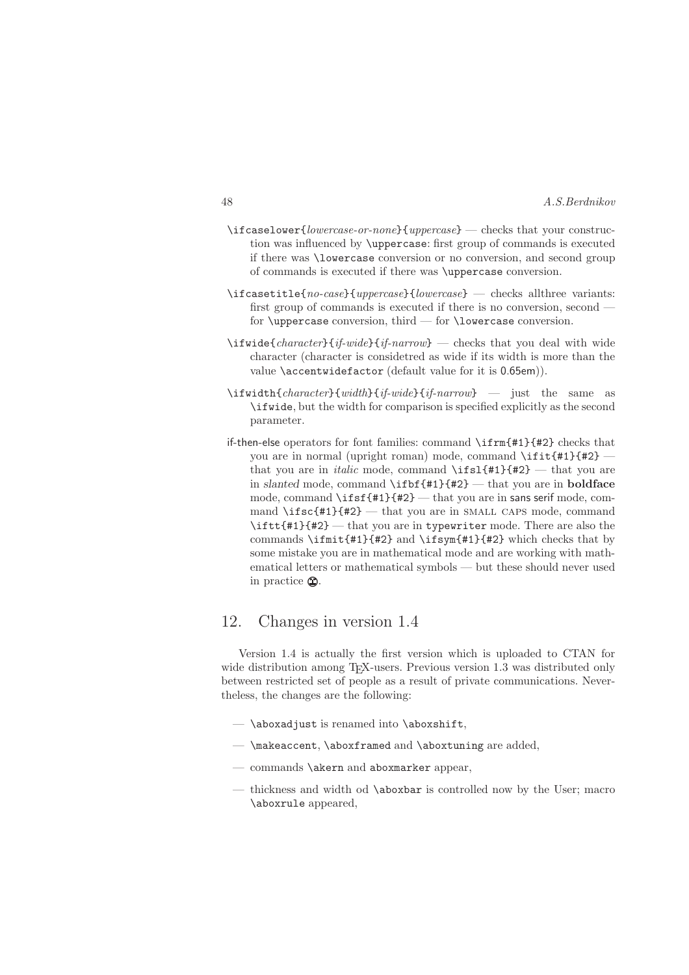| 48 | A.S.Berdnikov |
|----|---------------|
|    |               |

- $\left\{\{lowercase-or-none\}\{uppercase\}-\text{checks that your construct}\right\}$ tion was influenced by \uppercase: first group of commands is executed if there was \lowercase conversion or no conversion, and second group of commands is executed if there was \uppercase conversion.
- $\left\{ \frac{1}{2} \left\{ \frac{1}{2} \left( \frac{1}{2} \right) \right\} \right\}$  decks allthree variants: first group of commands is executed if there is no conversion, second for  $\u{p}$  are conversion, third — for  $\u{b}$  towercase conversion.
- \ifwide{character}{if-wide}{if-narrow} checks that you deal with wide character (character is considetred as wide if its width is more than the value \accentwidefactor (default value for it is 0.65em)).
- $\left\{\tilde{ch}aracter \{width\} \{if-wide\} \{if-narrow\}$  just the same as \ifwide, but the width for comparison is specified explicitly as the second parameter.
- if-then-else operators for font families: command \ifrm{#1}{#2} checks that you are in normal (upright roman) mode, command \ifit{#1}{#2} that you are in *italic* mode, command  $\iint f(x) = \iint f(x)$  what you are in slanted mode, command  $\if{#1}{#2}$  — that you are in **boldface** mode, command \ifsf{#1}{#2} — that you are in sans serif mode, command \ifsc{#1}{#2} — that you are in SMALL CAPS mode, command \iftt{#1}{#2} — that you are in typewriter mode. There are also the commands \ifmit{#1}{#2} and \ifsym{#1}{#2} which checks that by some mistake you are in mathematical mode and are working with mathematical letters or mathematical symbols — but these should never used in practice  $\mathbb{Q}$ .

# 12. Changes in version 1.4

Version 1.4 is actually the first version which is uploaded to CTAN for wide distribution among T<sub>E</sub>X-users. Previous version 1.3 was distributed only between restricted set of people as a result of private communications. Nevertheless, the changes are the following:

- $-$  \aboxadjust is renamed into \aboxshift,
- \makeaccent, \aboxframed and \aboxtuning are added,
- commands \akern and aboxmarker appear,
- thickness and width od \aboxbar is controlled now by the User; macro \aboxrule appeared,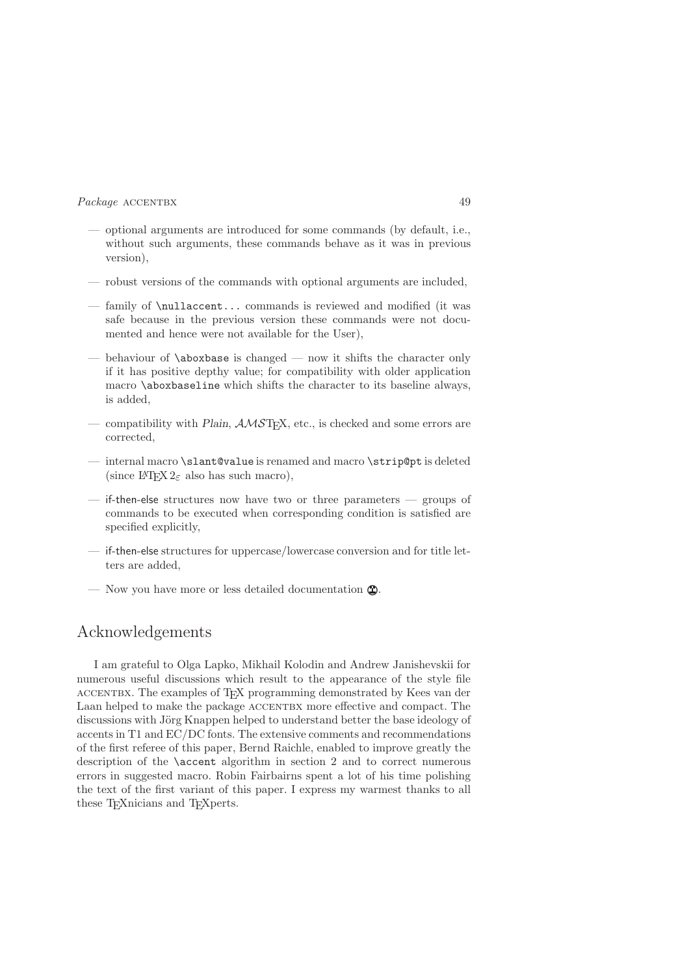- optional arguments are introduced for some commands (by default, i.e., without such arguments, these commands behave as it was in previous version),
- robust versions of the commands with optional arguments are included,
- family of \nullaccent... commands is reviewed and modified (it was safe because in the previous version these commands were not documented and hence were not available for the User),
- behaviour of  $\abla$  behaviour of  $\abla$ if it has positive depthy value; for compatibility with older application macro \aboxbaseline which shifts the character to its baseline always, is added,
- compatibility with Plain,  $AMST$ <sub>F</sub>X, etc., is checked and some errors are corrected,
- internal macro \slant@value is renamed and macro \strip@pt is deleted (since L<sup>A</sup>T<sub>E</sub>X 2<sub> $\varepsilon$ </sub> also has such macro),
- if-then-else structures now have two or three parameters groups of commands to be executed when corresponding condition is satisfied are specified explicitly,
- if-then-else structures for uppercase/lowercase conversion and for title letters are added,
- Now you have more or less detailed documentation  $\mathbf{Q}$ .

# Acknowledgements

I am grateful to Olga Lapko, Mikhail Kolodin and Andrew Janishevskii for numerous useful discussions which result to the appearance of the style file accentbx. The examples of TEX programming demonstrated by Kees van der Laan helped to make the package ACCENTBX more effective and compact. The discussions with Jörg Knappen helped to understand better the base ideology of accents in T1 and EC/DC fonts. The extensive comments and recommendations of the first referee of this paper, Bernd Raichle, enabled to improve greatly the description of the \accent algorithm in section 2 and to correct numerous errors in suggested macro. Robin Fairbairns spent a lot of his time polishing the text of the first variant of this paper. I express my warmest thanks to all these TEXnicians and TEXperts.